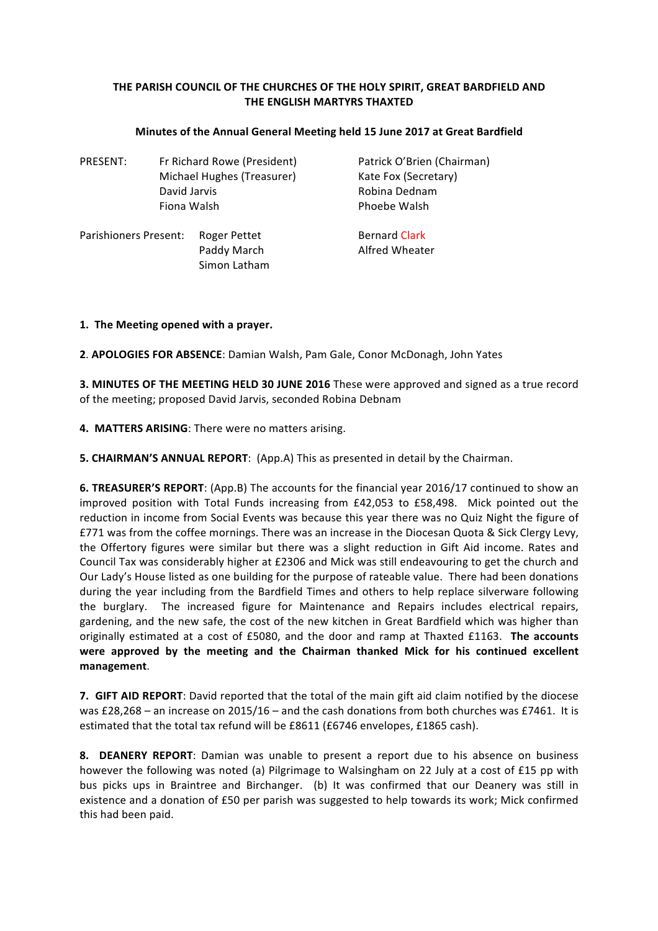## THE PARISH COUNCIL OF THE CHURCHES OF THE HOLY SPIRIT, GREAT BARDFIELD AND **THE ENGLISH MARTYRS THAXTED**

| PRESENT:              | Fr Richard Rowe (President)<br>Michael Hughes (Treasurer) | Patrick O'Brien (Chairman)<br>Kate Fox (Secretary) |
|-----------------------|-----------------------------------------------------------|----------------------------------------------------|
|                       | David Jarvis                                              | Robina Dednam                                      |
| Fiona Walsh           |                                                           | Phoebe Walsh                                       |
| Parishioners Present: | Roger Pettet                                              | <b>Bernard Clark</b>                               |
|                       | Paddy March                                               | Alfred Wheater                                     |

## **Minutes of the Annual General Meeting held 15 June 2017 at Great Bardfield**

## 1. The Meeting opened with a prayer.

**2. APOLOGIES FOR ABSENCE:** Damian Walsh, Pam Gale, Conor McDonagh, John Yates

**3. MINUTES OF THE MEETING HELD 30 JUNE 2016** These were approved and signed as a true record of the meeting; proposed David Jarvis, seconded Robina Debnam

4. MATTERS ARISING: There were no matters arising.

Simon Latham

**5. CHAIRMAN'S ANNUAL REPORT:** (App.A) This as presented in detail by the Chairman.

**6. TREASURER'S REPORT:** (App.B) The accounts for the financial year 2016/17 continued to show an improved position with Total Funds increasing from £42,053 to £58,498. Mick pointed out the reduction in income from Social Events was because this vear there was no Quiz Night the figure of £771 was from the coffee mornings. There was an increase in the Diocesan Quota & Sick Clergy Levy, the Offertory figures were similar but there was a slight reduction in Gift Aid income. Rates and Council Tax was considerably higher at £2306 and Mick was still endeavouring to get the church and Our Lady's House listed as one building for the purpose of rateable value. There had been donations during the year including from the Bardfield Times and others to help replace silverware following the burglary. The increased figure for Maintenance and Repairs includes electrical repairs, gardening, and the new safe, the cost of the new kitchen in Great Bardfield which was higher than originally estimated at a cost of £5080, and the door and ramp at Thaxted £1163. The accounts were approved by the meeting and the Chairman thanked Mick for his continued excellent **management**.

**7. GIFT AID REPORT:** David reported that the total of the main gift aid claim notified by the diocese was £28,268 – an increase on 2015/16 – and the cash donations from both churches was £7461. It is estimated that the total tax refund will be £8611 (£6746 envelopes, £1865 cash).

**8.** DEANERY REPORT: Damian was unable to present a report due to his absence on business however the following was noted (a) Pilgrimage to Walsingham on 22 July at a cost of £15 pp with bus picks ups in Braintree and Birchanger. (b) It was confirmed that our Deanery was still in existence and a donation of £50 per parish was suggested to help towards its work; Mick confirmed this had been paid.